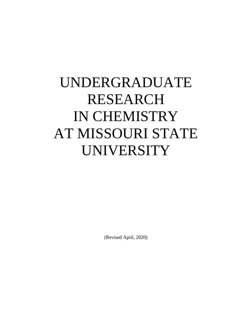# UNDERGRADUATE RESEARCH IN CHEMISTRY AT MISSOURI STATE UNIVERSITY

(Revised April, 2020)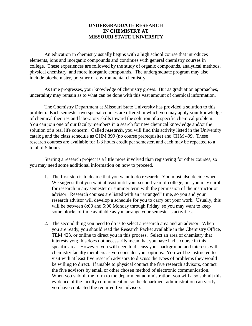## **UNDERGRADUATE RESEARCH IN CHEMISTRY AT MISSOURI STATE UNIVERSITY**

An education in chemistry usually begins with a high school course that introduces elements, ions and inorganic compounds and continues with general chemistry courses in college. These experiences are followed by the study of organic compounds, analytical methods, physical chemistry, and more inorganic compounds. The undergraduate program may also include biochemistry, polymer or environmental chemistry.

As time progresses, your knowledge of chemistry grows. But as graduation approaches, uncertainty may remain as to what can be done with this vast amount of chemical information.

The Chemistry Department at Missouri State University has provided a solution to this problem. Each semester two special courses are offered in which you may apply your knowledge of chemical theories and laboratory skills toward the solution of a specific chemical problem. You can join one of our faculty members in a search for new chemical knowledge and/or the solution of a real life concern. Called *research*, you will find this activity listed in the University catalog and the class schedule as CHM 399 (no course prerequisite) and CHM 499. These research courses are available for 1-3 hours credit per semester, and each may be repeated to a total of 5 hours.

Starting a research project is a little more involved than registering for other courses, so you may need some additional information on how to proceed.

- 1. The first step is to decide that you want to do research. You must also decide when. We suggest that you wait at least until your second year of college, but you may enroll for research in any semester or summer term with the permission of the instructor or advisor. Research courses are listed with an "arranged" time, so you and your research advisor will develop a schedule for you to carry out your work. Usually, this will be between 8:00 and 5:00 Monday through Friday, so you may want to keep some blocks of time available as you arrange your semester's activities.
- 2. The second thing you need to do is to select a research area and an advisor. When you are ready, you should read the Research Packet available in the Chemistry Office, TEM 423, or online to direct you in this process. Select an area of chemistry that interests you; this does not necessarily mean that you have had a course in this specific area. However, you will need to discuss your background and interests with chemistry faculty members as you consider your options. You will be instructed to visit with at least five research advisors to discuss the types of problems they would be willing to direct. If unable to physical contact the five research advisors, contact the five advisors by email or other chosen method of electronic communication. When you submit the form to the department administration, you will also submit this evidence of the faculty communication so the department administration can verify you have contacted the required five advisors.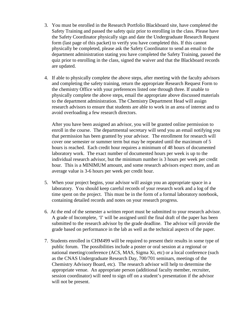- 3. You must be enrolled in the Research Portfolio Blackboard site, have completed the Safety Training and passed the safety quiz prior to enrolling in the class. Please have the Safety Coordinator physically sign and date the Undergraduate Research Request form (last page of this packet) to verify you have completed this. If this cannot physically be completed, please ask the Safety Coordinator to send an email to the department administration stating you have completed the Safety Training, passed the quiz prior to enrolling in the class, signed the waiver and that the Blackboard records are updated.
- 4. If able to physically complete the above steps, after meeting with the faculty advisors and completing the safety training, return the appropriate Research Request Form to the chemistry Office with your preferences listed one through three. If unable to physically complete the above steps, email the appropriate above discussed materials to the department administration. The Chemistry Department Head will assign research advisors to ensure that students are able to work in an area of interest and to avoid overloading a few research directors.

After you have been assigned an advisor, you will be granted online permission to enroll in the course. The departmental secretary will send you an email notifying you that permission has been granted by your advisor. The enrollment for research will cover one semester or summer term but may be repeated until the maximum of 5 hours is reached. Each credit hour requires a minimum of 48 hours of documented laboratory work. The exact number of documented hours per week is up to the individual research advisor, but the minimum number is 3 hours per week per credit hour. This is a MINIMUM amount, and some research advisors expect more, and an average value is 3-6 hours per week per credit hour.

- 5. When your project begins, your advisor will assign you an appropriate space in a laboratory. You should keep careful records of your research work and a log of the time spent on the project. This must be in the form of a formal laboratory notebook, containing detailed records and notes on your research progress.
- 6. At the end of the semester a written report must be submitted to your research advisor. A grade of Incomplete, 'I' will be assigned until the final draft of the paper has been submitted to the research advisor by the grade deadline. The advisor will provide the grade based on performance in the lab as well as the technical aspects of the paper.
- 7. Students enrolled in CHM499 will be required to present their results in some type of public forum. The possibilities include a poster or oral session at a regional or national meeting/conference (ACS, MAS, Sigma Xi, etc) or a local conference (such as the CNAS Undergraduate Research Day, 700/701 seminars, meetings of the Chemistry Advisory Board, etc). The research advisor will help to determine the appropriate venue. An appropriate person (additional faculty member, recruiter, session coordinator) will need to sign off on a student's presentation if the advisor will not be present.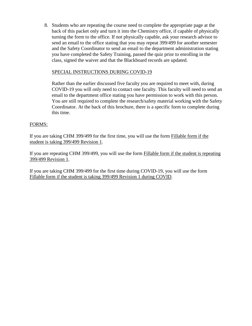8. Students who are repeating the course need to complete the appropriate page at the back of this packet only and turn it into the Chemistry office, if capable of physically turning the form to the office. If not physically capable, ask your research advisor to send an email to the office stating that you may repeat 399/499 for another semester and the Safety Coordinator to send an email to the department administration stating you have completed the Safety Training, passed the quiz prior to enrolling in the class, signed the waiver and that the Blackboard records are updated.

## SPECIAL INSTRUCTIONS DURING COVID-19

Rather than the earlier discussed five faculty you are required to meet with, during COVID-19 you will only need to contact one faculty. This faculty will need to send an email to the department office stating you have permission to work with this person. You are still required to complete the research/safety material working with the Safety Coordinator. At the back of this brochure, there is a specific form to complete during this time.

## FORMS:

If you are taking CHM 399/499 for the first time, you will use the form Fillable form if the student is taking 399/499 Revision 1.

If you are repeating CHM 399/499, you will use the form Fillable form if the student is repeating 399/499 Revision 1.

If you are taking CHM 399/499 for the first time during COVID-19, you will use the form Fillable form if the student is taking 399/499 Revision 1 during COVID.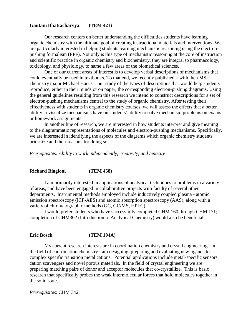#### **Gautam Bhattacharyya (TEM 421)**

Our research centers on better understanding the difficulties students have learning organic chemistry with the ultimate goal of creating instructional materials and interventions. We are particularly interested in helping students learning mechanistic reasoning using the electronpushing formalism (EPF). Not only is this type of mechanistic reasoning at the core of instruction and scientific practice in organic chemistry and biochemistry, they are integral to pharmacology, toxicology, and physiology, to name a few areas of the biomedical sciences.

One of our current areas of interest is to develop verbal descriptions of mechanisms that could eventually be used in textbooks. To that end, we recently published – with then MSU chemistry major Michael Harris – our study of the types of descriptions that would help students reproduce, either in their minds or on paper, the corresponding electron-pushing diagrams. Using the general guidelines resulting from this research we intend to construct descriptions for a set of electron-pushing mechanisms central to the study of organic chemistry. After testing their effectiveness with students in organic chemistry courses, we will assess the effects that a better ability to visualize mechanisms have on students' ability to solve mechanism problems on exams or homework assignments.

In another line of research, we are interested in how students interpret and give meaning to the diagrammatic representations of molecules and electron-pushing mechanisms. Specifically, we are interested in identifying the aspects of the diagrams which organic chemistry students prioritize and their reasons for doing so.

*Prerequisites: Ability to work independently, creativity, and tenacity*

#### **Richard Biagioni (TEM 458)**

I am primarily interested in applications of analytical techniques to problems in a variety of areas, and have been engaged in collaborative projects with faculty of several other departments. Instrumental methods employed include inductively coupled plasma - atomic emission spectroscopy (ICP-AES) and atomic absorption spectroscopy (AAS), along with a variety of chromatographic methods (GC, GC/MS, HPLC).

I would prefer students who have successfully completed CHM 160 through CHM 171; completion of CHM302 (Introduction to Analytical Chemistry) would also be beneficial.

#### **Eric Bosch (TEM 104A)**

My current research interests are in coordination chemistry and crystal engineering. In the field of coordination chemistry I am designing, preparing and evaluating new ligands to complex specific transition metal cations. Potential applications include metal-specific sensors, cation scavengers and novel porous materials. In the field of crystal engineering we are preparing matching pairs of donor and acceptor molecules that co-crystallize. This is basic research that specifically probes the weak intermolecular forces that hold molecules together in the solid state.

*Prerequisites*: CHM 342.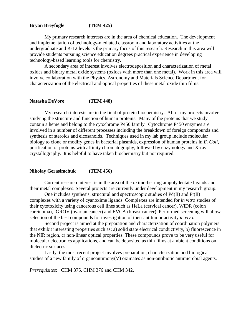### **Bryan Breyfogle (TEM 425)**

My primary research interests are in the area of chemical education. The development and implementation of technology-mediated classroom and laboratory activities at the undergraduate and K-12 levels is the primary focus of this research. Research in this area will provide students pursuing science education degrees practical experience in developing technology-based learning tools for chemistry.

A secondary area of interest involves electrodeposition and characterization of metal oxides and binary metal oxide systems (oxides with more than one metal). Work in this area will involve collaboration with the Physics, Astronomy and Materials Science Department for characterization of the electrical and optical properties of these metal oxide thin films.

#### **Natasha DeVore (TEM 448)**

My research interests are in the field of protein biochemistry. All of my projects involve studying the structure and function of human proteins. Many of the proteins that we study contain a heme and belong to the cytochrome P450 family. Cytochrome P450 enzymes are involved in a number of different processes including the breakdown of foreign compounds and synthesis of steroids and eicosanoids. Techniques used in my lab group include molecular biology to clone or modify genes in bacterial plasmids, expression of human proteins in *E. Coli*, purification of proteins with affinity chromatography, followed by enzymology and X-ray crystallography. It is helpful to have taken biochemistry but not required.

#### **Nikolay Gerasimchuk (TEM 456)**

Current research interest is in the area of the oxime-bearing ampolydentate ligands and their metal complexes. Several projects are currently under development in my research group.

One includes synthesis, structural and spectroscopic studies of Pd(II) and Pt(II) complexes with a variety of cyanoxime ligands. Complexes are intended for *in vitro* studies of their cytotoxicity using cancerous cell lines such as HeLa (cervical cancer), WiDR (colon carcinoma), IGROV (ovarian cancer) and EVCA (breast cancer). Performed screening will allow selection of the best compounds for investigation of their antitumor activity *in vivo*.

Second project is aimed at the preparation and characterization of coordination polymers that exhibit interesting properties such as: a) solid state electrical conductivity, b) fluorescence in the NIR region, c) non-linear optical properties. These compounds prove to be very useful for molecular electronics applications, and can be deposited as thin films at ambient conditions on dielectric surfaces.

Lastly, the most recent project involves preparation, characterization and biological studies of a new family of organoantimony(V) oximates as non-antibiotic antimicrobial agents.

*Prerequisites*: CHM 375, CHM 376 and CHM 342.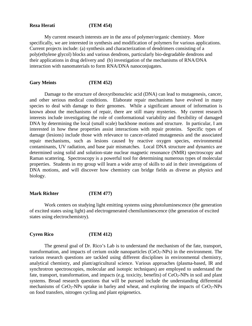## **Reza Herati (TEM 454)**

My current research interests are in the area of polymer/organic chemistry. More specifically, we are interested in synthesis and modification of polymers for various applications. Current projects include: (a) synthesis and characterization of dendrimers consisting of a poly(ethylene glycol) blocks and various dendrons, particularly bio-degradable dendrons and their applications in drug delivery and (b) investigation of the mechanisms of RNA/DNA interaction with nanomaterials to form RNA/DNA nanoconjugates.

#### **Gary Meints (TEM 452)**

Damage to the structure of deoxyribonucleic acid (DNA) can lead to mutagenesis, cancer, and other serious medical conditions. Elaborate repair mechanisms have evolved in many species to deal with damage to their genomes. While a significant amount of information is known about the mechanisms of repair, there are still many mysteries. My current research interests include investigating the role of conformational variability and flexibility of damaged DNA by determining the local (small scale) backbone motions and structure. In particular, I am interested in how these properties assist interactions with repair proteins. Specific types of damage (lesions) include those with relevance to cancer-related mutagenesis and the associated repair mechanisms, such as lesions caused by reactive oxygen species, environmental contaminants, UV radiation, and base pair mismatches. Local DNA structure and dynamics are determined using solid and solution-state nuclear magnetic resonance (NMR) spectroscopy and Raman scattering. Spectroscopy is a powerful tool for determining numerous types of molecular properties. Students in my group will learn a wide array of skills to aid in their investigations of DNA motions, and will discover how chemistry can bridge fields as diverse as physics and biology.

#### **Mark Richter (TEM 477)**

Work centers on studying light emitting systems using photoluminescence (the generation of excited states using light) and electrogenerated chemiluminescence (the generation of excited states using electrochemistry).

#### **Cyren Rico (TEM 412)**

The general goal of Dr. Rico's Lab is to understand the mechanism of the fate, transport, transformation, and impacts of cerium oxide nanoparticles  $(CeO<sub>2</sub>-NPs)$  in the environment. The various research questions are tackled using different disciplines in environmental chemistry, analytical chemistry, and plant/agricultural science. Various approaches (plasma-based, IR and synchrotron spectroscopies, molecular and isotopic techniques) are employed to understand the fate, transport, transformation, and impacts (e.g. toxicity, benefits) of  $CeO<sub>2</sub>$ -NPs in soil and plant systems. Broad research questions that will be pursued include the understanding differential mechanisms of  $CeO<sub>2</sub>-NPs$  uptake in barley and wheat, and exploring the impacts of  $CeO<sub>2</sub>-NPs$ on food transfers, nitrogen cycling and plant epigenetics.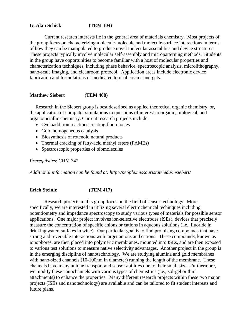## **G. Alan Schick (TEM 104)**

Current research interests lie in the general area of materials chemistry. Most projects of the group focus on characterizing molecule-molecule and molecule-surface interactions in terms of how they can be manipulated to produce novel molecular assemblies and device structures. These projects typically involve molecular self-assembly and micropatterning methods. Students in the group have opportunities to become familiar with a host of molecular properties and characterization techniques, including phase behavior, spectroscopic analysis, microlithography, nano-scale imaging, and cleanroom protocol. Application areas include electronic device fabrication and formulations of medicated topical creams and gels.

## **Matthew Siebert (TEM 408)**

Research in the Siebert group is best described as applied theoretical organic chemistry, or, the application of computer simulations to questions of interest to organic, biological, and organometallic chemistry. Current research projects include:

- Cycloaddition reactions creating fluorenones
- Gold homogeneous catalysis
- Biosynthesis of rotenoid natural products
- Thermal cracking of fatty-acid methyl esters (FAMEs)
- Spectroscopic properties of biomolecules

#### *Prerequisites*: CHM 342.

*Additional information can be found at: http://people.missouristate.edu/msiebert/*

## **Erich Steinle (TEM 417)**

Research projects in this group focus on the field of sensor technology. More specifically, we are interested in utilizing several electrochemical techniques including potentiometry and impedance spectroscopy to study various types of materials for possible sensor applications. One major project involves ion-selective electrodes (ISEs), devices that precisely measure the concentration of specific anions or cations in aqueous solutions (i.e., fluoride in drinking water, sulfates in wine). Our particular goal is to find promising compounds that have strong and reversible interactions with target anions and cations. These compounds, known as ionophores, are then placed into polymeric membranes, mounted into ISEs, and are then exposed to various test solutions to measure native selectivity advantages. Another project in the group is in the emerging discipline of nanotechnology. We are studying alumina and gold membranes with nano-sized channels (10-100nm in diameter) running the length of the membrane. These channels have many unique transport and sensor abilities due to their small size. Furthermore, we modify these nanochannels with various types of chemistries (i.e., sol-gel or thiol attachments) to enhance the properties. Many different research projects within these two major projects (ISEs and nanotechnology) are available and can be tailored to fit student interests and future plans.